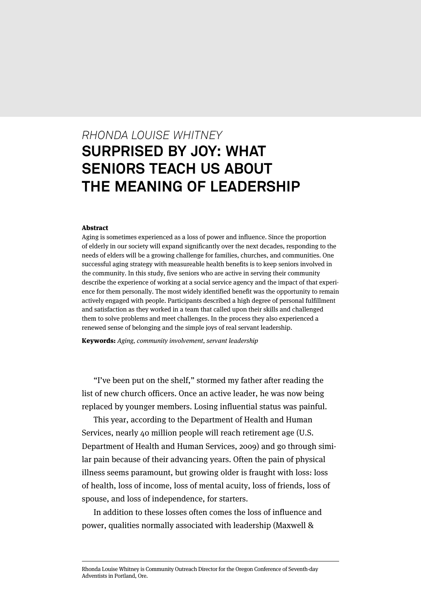# *RHONDA LOUISE WHITNEY* **SURPRISED BY JOY: WHAT SENIORS TEACH US ABOUT THE MEANING OF LEADERSHIP**

#### Abstract

Aging is sometimes experienced as a loss of power and influence. Since the proportion of elderly in our society will expand significantly over the next decades, responding to the needs of elders will be a growing challenge for families, churches, and communities. One successful aging strategy with measureable health benefits is to keep seniors involved in the community. In this study, five seniors who are active in serving their community describe the experience of working at a social service agency and the impact of that experience for them personally. The most widely identified benefit was the opportunity to remain actively engaged with people. Participants described a high degree of personal fulfillment and satisfaction as they worked in a team that called upon their skills and challenged them to solve problems and meet challenges. In the process they also experienced a renewed sense of belonging and the simple joys of real servant leadership.

Keywords: Aging, community involvement, servant leadership

"I've been put on the shelf," stormed my father after reading the list of new church officers. Once an active leader, he was now being replaced by younger members. Losing influential status was painful.

This year, according to the Department of Health and Human Services, nearly 40 million people will reach retirement age (U.S. Department of Health and Human Services, 2009) and go through similar pain because of their advancing years. Often the pain of physical illness seems paramount, but growing older is fraught with loss: loss of health, loss of income, loss of mental acuity, loss of friends, loss of spouse, and loss of independence, for starters.

In addition to these losses often comes the loss of influence and power, qualities normally associated with leadership (Maxwell &

Rhonda Louise Whitney is Community Outreach Director for the Oregon Conference of Seventh-day Adventists in Portland, Ore.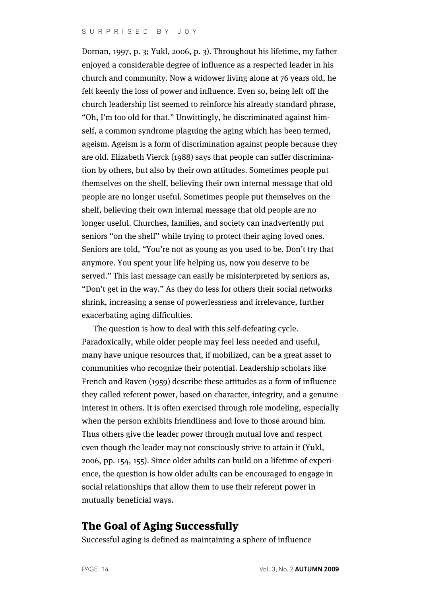#### SURPRISED BY JOY

Dornan, 1997, p. 3; Yukl, 2006, p. 3). Throughout his lifetime, my father enjoyed a considerable degree of influence as a respected leader in his church and community. Now a widower living alone at 76 years old, he felt keenly the loss of power and influence. Even so, being left off the church leadership list seemed to reinforce his already standard phrase, "Oh, I'm too old for that." Unwittingly, he discriminated against himself, a common syndrome plaguing the aging which has been termed, ageism. Ageism is a form of discrimination against people because they are old. Elizabeth Vierck (1988) says that people can suffer discrimination by others, but also by their own attitudes. Sometimes people put themselves on the shelf, believing their own internal message that old people are no longer useful. Sometimes people put themselves on the shelf, believing their own internal message that old people are no longer useful. Churches, families, and society can inadvertently put seniors "on the shelf" while trying to protect their aging loved ones. Seniors are told, "You're not as young as you used to be. Don't try that anymore. You spent your life helping us, now you deserve to be served." This last message can easily be misinterpreted by seniors as, "Don't get in the way." As they do less for others their social networks shrink, increasing a sense of powerlessness and irrelevance, further exacerbating aging difficulties.

The question is how to deal with this self-defeating cycle. Paradoxically, while older people may feel less needed and useful, many have unique resources that, if mobilized, can be a great asset to communities who recognize their potential. Leadership scholars like French and Raven (1959) describe these attitudes as a form of influence they called referent power, based on character, integrity, and a genuine interest in others. It is often exercised through role modeling, especially when the person exhibits friendliness and love to those around him. Thus others give the leader power through mutual love and respect even though the leader may not consciously strive to attain it (Yukl, 2006, pp. 154, 155). Since older adults can build on a lifetime of experience, the question is how older adults can be encouraged to engage in social relationships that allow them to use their referent power in mutually beneficial ways.

### The Goal of Aging Successfully

Successful aging is defined as maintaining a sphere of influence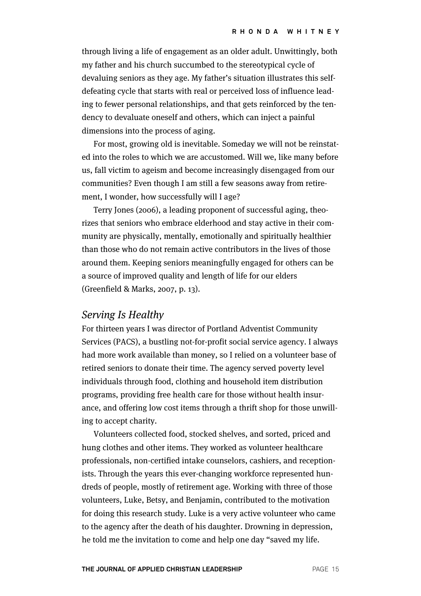through living a life of engagement as an older adult. Unwittingly, both my father and his church succumbed to the stereotypical cycle of devaluing seniors as they age. My father's situation illustrates this selfdefeating cycle that starts with real or perceived loss of influence leading to fewer personal relationships, and that gets reinforced by the tendency to devaluate oneself and others, which can inject a painful dimensions into the process of aging.

For most, growing old is inevitable. Someday we will not be reinstated into the roles to which we are accustomed. Will we, like many before us, fall victim to ageism and become increasingly disengaged from our communities? Even though I am still a few seasons away from retirement, I wonder, how successfully will I age?

Terry Jones (2006), a leading proponent of successful aging, theorizes that seniors who embrace elderhood and stay active in their community are physically, mentally, emotionally and spiritually healthier than those who do not remain active contributors in the lives of those around them. Keeping seniors meaningfully engaged for others can be a source of improved quality and length of life for our elders (Greenfield & Marks, 2007, p. 13).

#### Serving Is Healthy

For thirteen years I was director of Portland Adventist Community Services (PACS), a bustling not-for-profit social service agency. I always had more work available than money, so I relied on a volunteer base of retired seniors to donate their time. The agency served poverty level individuals through food, clothing and household item distribution programs, providing free health care for those without health insurance, and offering low cost items through a thrift shop for those unwilling to accept charity.

Volunteers collected food, stocked shelves, and sorted, priced and hung clothes and other items. They worked as volunteer healthcare professionals, non-certified intake counselors, cashiers, and receptionists. Through the years this ever-changing workforce represented hundreds of people, mostly of retirement age. Working with three of those volunteers, Luke, Betsy, and Benjamin, contributed to the motivation for doing this research study. Luke is a very active volunteer who came to the agency after the death of his daughter. Drowning in depression, he told me the invitation to come and help one day "saved my life.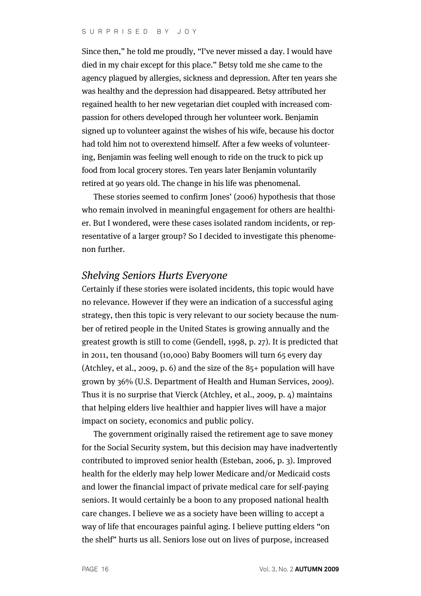Since then," he told me proudly, "I've never missed a day. I would have died in my chair except for this place." Betsy told me she came to the agency plagued by allergies, sickness and depression. After ten years she was healthy and the depression had disappeared. Betsy attributed her regained health to her new vegetarian diet coupled with increased compassion for others developed through her volunteer work. Benjamin signed up to volunteer against the wishes of his wife, because his doctor had told him not to overextend himself. After a few weeks of volunteering, Benjamin was feeling well enough to ride on the truck to pick up food from local grocery stores. Ten years later Benjamin voluntarily retired at 90 years old. The change in his life was phenomenal.

These stories seemed to confirm Jones' (2006) hypothesis that those who remain involved in meaningful engagement for others are healthier. But I wondered, were these cases isolated random incidents, or representative of a larger group? So I decided to investigate this phenomenon further.

#### Shelving Seniors Hurts Everyone

Certainly if these stories were isolated incidents, this topic would have no relevance. However if they were an indication of a successful aging strategy, then this topic is very relevant to our society because the number of retired people in the United States is growing annually and the greatest growth is still to come (Gendell, 1998, p. 27). It is predicted that in 2011, ten thousand (10,000) Baby Boomers will turn 65 every day (Atchley, et al., 2009, p. 6) and the size of the 85+ population will have grown by 36% (U.S. Department of Health and Human Services, 2009). Thus it is no surprise that Vierck (Atchley, et al., 2009, p. 4) maintains that helping elders live healthier and happier lives will have a major impact on society, economics and public policy.

The government originally raised the retirement age to save money for the Social Security system, but this decision may have inadvertently contributed to improved senior health (Esteban, 2006, p. 3). Improved health for the elderly may help lower Medicare and/or Medicaid costs and lower the financial impact of private medical care for self-paying seniors. It would certainly be a boon to any proposed national health care changes. I believe we as a society have been willing to accept a way of life that encourages painful aging. I believe putting elders "on the shelf" hurts us all. Seniors lose out on lives of purpose, increased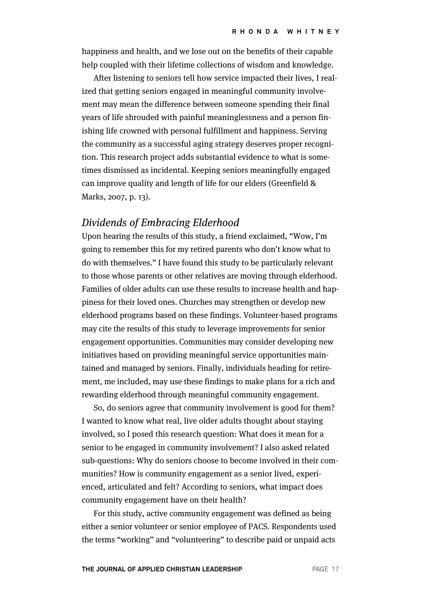happiness and health, and we lose out on the benefits of their capable help coupled with their lifetime collections of wisdom and knowledge.

After listening to seniors tell how service impacted their lives, I realized that getting seniors engaged in meaningful community involvement may mean the difference between someone spending their final years of life shrouded with painful meaninglessness and a person finishing life crowned with personal fulfillment and happiness. Serving the community as a successful aging strategy deserves proper recognition. This research project adds substantial evidence to what is sometimes dismissed as incidental. Keeping seniors meaningfully engaged can improve quality and length of life for our elders (Greenfield & Marks, 2007, p. 13).

### Dividends of Embracing Elderhood

Upon hearing the results of this study, a friend exclaimed, "Wow, I'm going to remember this for my retired parents who don't know what to do with themselves." I have found this study to be particularly relevant to those whose parents or other relatives are moving through elderhood. Families of older adults can use these results to increase health and happiness for their loved ones. Churches may strengthen or develop new elderhood programs based on these findings. Volunteer-based programs may cite the results of this study to leverage improvements for senior engagement opportunities. Communities may consider developing new initiatives based on providing meaningful service opportunities maintained and managed by seniors. Finally, individuals heading for retirement, me included, may use these findings to make plans for a rich and rewarding elderhood through meaningful community engagement.

So, do seniors agree that community involvement is good for them? I wanted to know what real, live older adults thought about staying involved, so I posed this research question: What does it mean for a senior to be engaged in community involvement? I also asked related sub-questions: Why do seniors choose to become involved in their communities? How is community engagement as a senior lived, experienced, articulated and felt? According to seniors, what impact does community engagement have on their health?

For this study, active community engagement was defined as being either a senior volunteer or senior employee of PACS. Respondents used the terms "working" and "volunteering" to describe paid or unpaid acts

**THE JOURNAL OF APPLIED CHRISTIAN LEADERSHIP PAGE 17**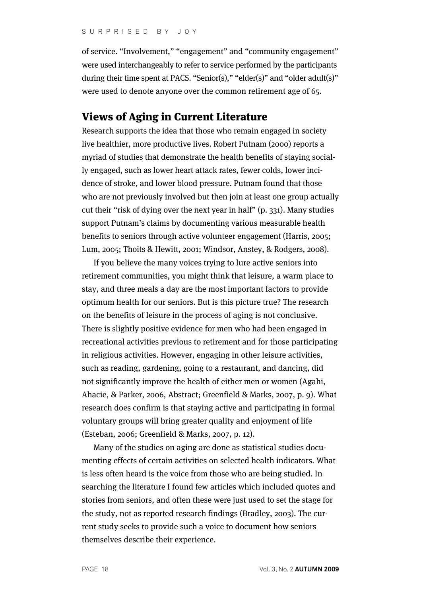of service. "Involvement," "engagement" and "community engagement" were used interchangeably to refer to service performed by the participants during their time spent at PACS. "Senior(s)," "elder(s)" and "older adult(s)" were used to denote anyone over the common retirement age of 65.

#### Views of Aging in Current Literature

Research supports the idea that those who remain engaged in society live healthier, more productive lives. Robert Putnam (2000) reports a myriad of studies that demonstrate the health benefits of staying socially engaged, such as lower heart attack rates, fewer colds, lower incidence of stroke, and lower blood pressure. Putnam found that those who are not previously involved but then join at least one group actually cut their "risk of dying over the next year in half" (p. 331). Many studies support Putnam's claims by documenting various measurable health benefits to seniors through active volunteer engagement (Harris, 2005; Lum, 2005; Thoits & Hewitt, 2001; Windsor, Anstey, & Rodgers, 2008).

If you believe the many voices trying to lure active seniors into retirement communities, you might think that leisure, a warm place to stay, and three meals a day are the most important factors to provide optimum health for our seniors. But is this picture true? The research on the benefits of leisure in the process of aging is not conclusive. There is slightly positive evidence for men who had been engaged in recreational activities previous to retirement and for those participating in religious activities. However, engaging in other leisure activities, such as reading, gardening, going to a restaurant, and dancing, did not significantly improve the health of either men or women (Agahi, Ahacie, & Parker, 2006, Abstract; Greenfield & Marks, 2007, p. 9). What research does confirm is that staying active and participating in formal voluntary groups will bring greater quality and enjoyment of life (Esteban, 2006; Greenfield & Marks, 2007, p. 12).

Many of the studies on aging are done as statistical studies documenting effects of certain activities on selected health indicators. What is less often heard is the voice from those who are being studied. In searching the literature I found few articles which included quotes and stories from seniors, and often these were just used to set the stage for the study, not as reported research findings (Bradley, 2003). The current study seeks to provide such a voice to document how seniors themselves describe their experience.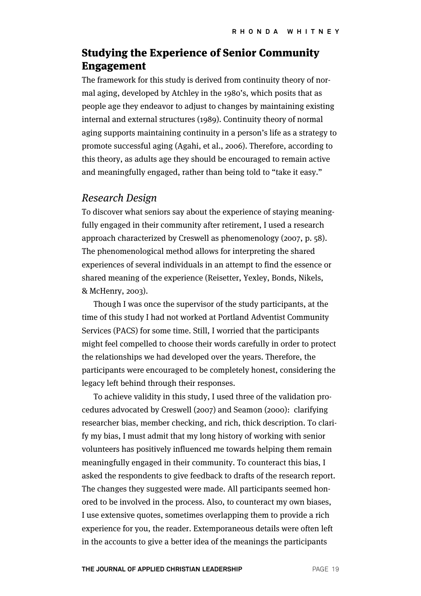# Studying the Experience of Senior Community Engagement

The framework for this study is derived from continuity theory of normal aging, developed by Atchley in the 1980's, which posits that as people age they endeavor to adjust to changes by maintaining existing internal and external structures (1989). Continuity theory of normal aging supports maintaining continuity in a person's life as a strategy to promote successful aging (Agahi, et al., 2006). Therefore, according to this theory, as adults age they should be encouraged to remain active and meaningfully engaged, rather than being told to "take it easy."

#### Research Design

To discover what seniors say about the experience of staying meaningfully engaged in their community after retirement, I used a research approach characterized by Creswell as phenomenology (2007, p. 58). The phenomenological method allows for interpreting the shared experiences of several individuals in an attempt to find the essence or shared meaning of the experience (Reisetter, Yexley, Bonds, Nikels, & McHenry, 2003).

Though I was once the supervisor of the study participants, at the time of this study I had not worked at Portland Adventist Community Services (PACS) for some time. Still, I worried that the participants might feel compelled to choose their words carefully in order to protect the relationships we had developed over the years. Therefore, the participants were encouraged to be completely honest, considering the legacy left behind through their responses.

To achieve validity in this study, I used three of the validation procedures advocated by Creswell (2007) and Seamon (2000): clarifying researcher bias, member checking, and rich, thick description. To clarify my bias, I must admit that my long history of working with senior volunteers has positively influenced me towards helping them remain meaningfully engaged in their community. To counteract this bias, I asked the respondents to give feedback to drafts of the research report. The changes they suggested were made. All participants seemed honored to be involved in the process. Also, to counteract my own biases, I use extensive quotes, sometimes overlapping them to provide a rich experience for you, the reader. Extemporaneous details were often left in the accounts to give a better idea of the meanings the participants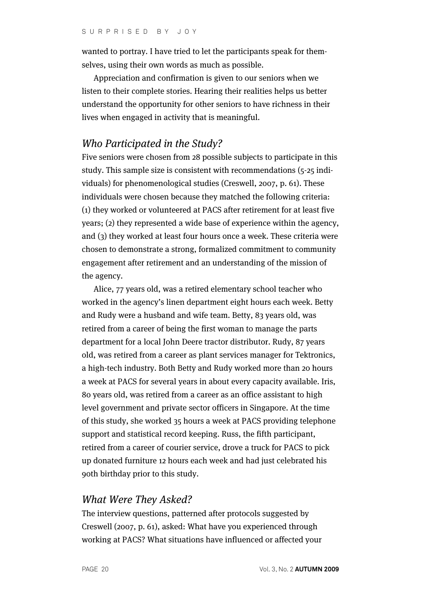wanted to portray. I have tried to let the participants speak for themselves, using their own words as much as possible.

Appreciation and confirmation is given to our seniors when we listen to their complete stories. Hearing their realities helps us better understand the opportunity for other seniors to have richness in their lives when engaged in activity that is meaningful.

### Who Participated in the Study?

Five seniors were chosen from 28 possible subjects to participate in this study. This sample size is consistent with recommendations (5-25 individuals) for phenomenological studies (Creswell, 2007, p. 61). These individuals were chosen because they matched the following criteria: (1) they worked or volunteered at PACS after retirement for at least five years; (2) they represented a wide base of experience within the agency, and (3) they worked at least four hours once a week. These criteria were chosen to demonstrate a strong, formalized commitment to community engagement after retirement and an understanding of the mission of the agency.

Alice, 77 years old, was a retired elementary school teacher who worked in the agency's linen department eight hours each week. Betty and Rudy were a husband and wife team. Betty, 83 years old, was retired from a career of being the first woman to manage the parts department for a local John Deere tractor distributor. Rudy, 87 years old, was retired from a career as plant services manager for Tektronics, a high-tech industry. Both Betty and Rudy worked more than 20 hours a week at PACS for several years in about every capacity available. Iris, 80 years old, was retired from a career as an office assistant to high level government and private sector officers in Singapore. At the time of this study, she worked 35 hours a week at PACS providing telephone support and statistical record keeping. Russ, the fifth participant, retired from a career of courier service, drove a truck for PACS to pick up donated furniture 12 hours each week and had just celebrated his 90th birthday prior to this study.

#### What Were They Asked?

The interview questions, patterned after protocols suggested by Creswell (2007, p. 61), asked: What have you experienced through working at PACS? What situations have influenced or affected your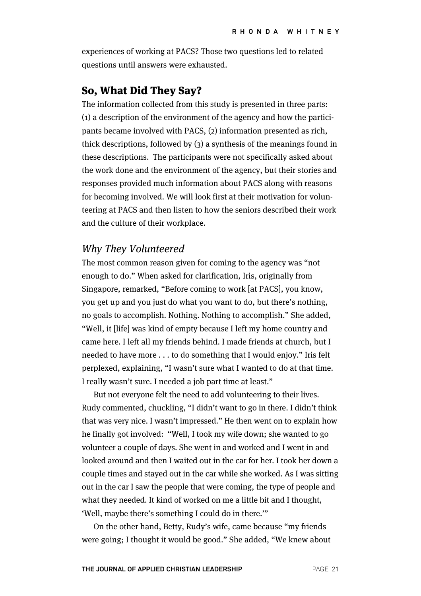experiences of working at PACS? Those two questions led to related questions until answers were exhausted.

### So, What Did They Say?

The information collected from this study is presented in three parts: (1) a description of the environment of the agency and how the participants became involved with PACS, (2) information presented as rich, thick descriptions, followed by (3) a synthesis of the meanings found in these descriptions. The participants were not specifically asked about the work done and the environment of the agency, but their stories and responses provided much information about PACS along with reasons for becoming involved. We will look first at their motivation for volunteering at PACS and then listen to how the seniors described their work and the culture of their workplace.

#### Why They Volunteered

The most common reason given for coming to the agency was "not enough to do." When asked for clarification, Iris, originally from Singapore, remarked, "Before coming to work [at PACS], you know, you get up and you just do what you want to do, but there's nothing, no goals to accomplish. Nothing. Nothing to accomplish." She added, "Well, it [life] was kind of empty because I left my home country and came here. I left all my friends behind. I made friends at church, but I needed to have more . . . to do something that I would enjoy." Iris felt perplexed, explaining, "I wasn't sure what I wanted to do at that time. I really wasn't sure. I needed a job part time at least."

But not everyone felt the need to add volunteering to their lives. Rudy commented, chuckling, "I didn't want to go in there. I didn't think that was very nice. I wasn't impressed." He then went on to explain how he finally got involved: "Well, I took my wife down; she wanted to go volunteer a couple of days. She went in and worked and I went in and looked around and then I waited out in the car for her. I took her down a couple times and stayed out in the car while she worked. As I was sitting out in the car I saw the people that were coming, the type of people and what they needed. It kind of worked on me a little bit and I thought, 'Well, maybe there's something I could do in there.'"

On the other hand, Betty, Rudy's wife, came because "my friends were going; I thought it would be good." She added, "We knew about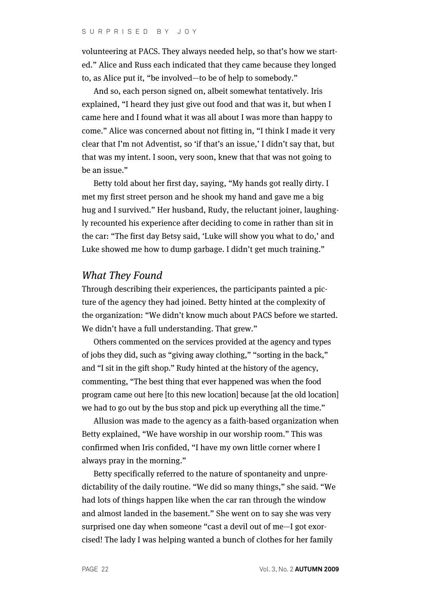volunteering at PACS. They always needed help, so that's how we started." Alice and Russ each indicated that they came because they longed to, as Alice put it, "be involved—to be of help to somebody."

And so, each person signed on, albeit somewhat tentatively. Iris explained, "I heard they just give out food and that was it, but when I came here and I found what it was all about I was more than happy to come." Alice was concerned about not fitting in, "I think I made it very clear that I'm not Adventist, so 'if that's an issue,' I didn't say that, but that was my intent. I soon, very soon, knew that that was not going to be an issue."

Betty told about her first day, saying, "My hands got really dirty. I met my first street person and he shook my hand and gave me a big hug and I survived." Her husband, Rudy, the reluctant joiner, laughingly recounted his experience after deciding to come in rather than sit in the car: "The first day Betsy said, 'Luke will show you what to do,' and Luke showed me how to dump garbage. I didn't get much training."

#### What They Found

Through describing their experiences, the participants painted a picture of the agency they had joined. Betty hinted at the complexity of the organization: "We didn't know much about PACS before we started. We didn't have a full understanding. That grew."

Others commented on the services provided at the agency and types of jobs they did, such as "giving away clothing," "sorting in the back," and "I sit in the gift shop." Rudy hinted at the history of the agency, commenting, "The best thing that ever happened was when the food program came out here [to this new location] because [at the old location] we had to go out by the bus stop and pick up everything all the time."

Allusion was made to the agency as a faith-based organization when Betty explained, "We have worship in our worship room." This was confirmed when Iris confided, "I have my own little corner where I always pray in the morning."

Betty specifically referred to the nature of spontaneity and unpredictability of the daily routine. "We did so many things," she said. "We had lots of things happen like when the car ran through the window and almost landed in the basement." She went on to say she was very surprised one day when someone "cast a devil out of me—I got exorcised! The lady I was helping wanted a bunch of clothes for her family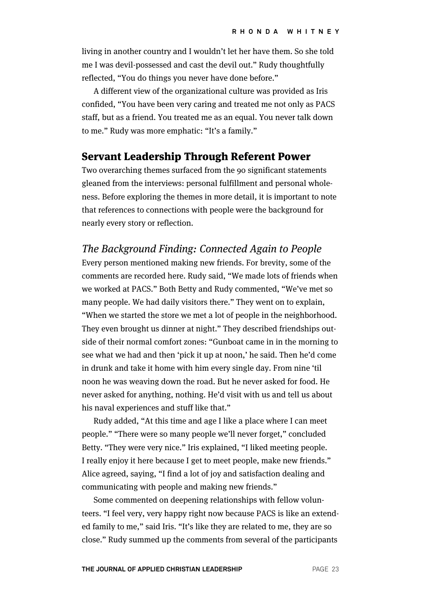living in another country and I wouldn't let her have them. So she told me I was devil-possessed and cast the devil out." Rudy thoughtfully reflected, "You do things you never have done before."

A different view of the organizational culture was provided as Iris confided, "You have been very caring and treated me not only as PACS staff, but as a friend. You treated me as an equal. You never talk down to me." Rudy was more emphatic: "It's a family."

#### Servant Leadership Through Referent Power

Two overarching themes surfaced from the 90 significant statements gleaned from the interviews: personal fulfillment and personal wholeness. Before exploring the themes in more detail, it is important to note that references to connections with people were the background for nearly every story or reflection.

#### The Background Finding: Connected Again to People

Every person mentioned making new friends. For brevity, some of the comments are recorded here. Rudy said, "We made lots of friends when we worked at PACS." Both Betty and Rudy commented, "We've met so many people. We had daily visitors there." They went on to explain, "When we started the store we met a lot of people in the neighborhood. They even brought us dinner at night." They described friendships outside of their normal comfort zones: "Gunboat came in in the morning to see what we had and then 'pick it up at noon,' he said. Then he'd come in drunk and take it home with him every single day. From nine 'til noon he was weaving down the road. But he never asked for food. He never asked for anything, nothing. He'd visit with us and tell us about his naval experiences and stuff like that."

Rudy added, "At this time and age I like a place where I can meet people." "There were so many people we'll never forget," concluded Betty. "They were very nice." Iris explained, "I liked meeting people. I really enjoy it here because I get to meet people, make new friends." Alice agreed, saying, "I find a lot of joy and satisfaction dealing and communicating with people and making new friends."

Some commented on deepening relationships with fellow volunteers. "I feel very, very happy right now because PACS is like an extended family to me," said Iris. "It's like they are related to me, they are so close." Rudy summed up the comments from several of the participants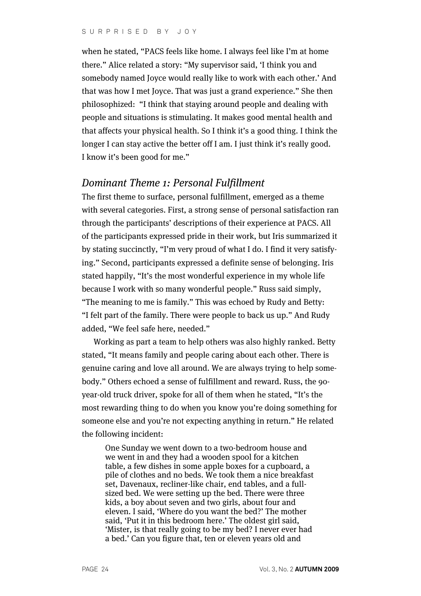when he stated, "PACS feels like home. I always feel like I'm at home there." Alice related a story: "My supervisor said, 'I think you and somebody named Joyce would really like to work with each other.' And that was how I met Joyce. That was just a grand experience." She then philosophized: "I think that staying around people and dealing with people and situations is stimulating. It makes good mental health and that affects your physical health. So I think it's a good thing. I think the longer I can stay active the better off I am. I just think it's really good. I know it's been good for me."

#### Dominant Theme 1: Personal Fulfillment

The first theme to surface, personal fulfillment, emerged as a theme with several categories. First, a strong sense of personal satisfaction ran through the participants' descriptions of their experience at PACS. All of the participants expressed pride in their work, but Iris summarized it by stating succinctly, "I'm very proud of what I do. I find it very satisfying." Second, participants expressed a definite sense of belonging. Iris stated happily, "It's the most wonderful experience in my whole life because I work with so many wonderful people." Russ said simply, "The meaning to me is family." This was echoed by Rudy and Betty: "I felt part of the family. There were people to back us up." And Rudy added, "We feel safe here, needed."

Working as part a team to help others was also highly ranked. Betty stated, "It means family and people caring about each other. There is genuine caring and love all around. We are always trying to help somebody." Others echoed a sense of fulfillment and reward. Russ, the 90 year-old truck driver, spoke for all of them when he stated, "It's the most rewarding thing to do when you know you're doing something for someone else and you're not expecting anything in return." He related the following incident:

One Sunday we went down to a two-bedroom house and we went in and they had a wooden spool for a kitchen table, a few dishes in some apple boxes for a cupboard, a pile of clothes and no beds. We took them a nice breakfast set, Davenaux, recliner-like chair, end tables, and a fullsized bed. We were setting up the bed. There were three kids, a boy about seven and two girls, about four and eleven. I said, 'Where do you want the bed?' The mother said, 'Put it in this bedroom here.' The oldest girl said, 'Mister, is that really going to be my bed? I never ever had a bed.' Can you figure that, ten or eleven years old and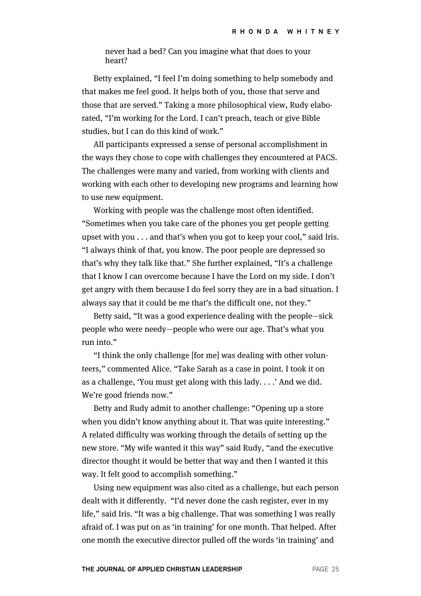never had a bed? Can you imagine what that does to your heart?

Betty explained, "I feel I'm doing something to help somebody and that makes me feel good. It helps both of you, those that serve and those that are served." Taking a more philosophical view, Rudy elaborated, "I'm working for the Lord. I can't preach, teach or give Bible studies, but I can do this kind of work."

All participants expressed a sense of personal accomplishment in the ways they chose to cope with challenges they encountered at PACS. The challenges were many and varied, from working with clients and working with each other to developing new programs and learning how to use new equipment.

Working with people was the challenge most often identified. "Sometimes when you take care of the phones you get people getting upset with you . . . and that's when you got to keep your cool," said Iris. "I always think of that, you know. The poor people are depressed so that's why they talk like that." She further explained, "It's a challenge that I know I can overcome because I have the Lord on my side. I don't get angry with them because I do feel sorry they are in a bad situation. I always say that it could be me that's the difficult one, not they."

Betty said, "It was a good experience dealing with the people—sick people who were needy—people who were our age. That's what you run into."

"I think the only challenge [for me] was dealing with other volunteers," commented Alice. "Take Sarah as a case in point. I took it on as a challenge, 'You must get along with this lady. . . .' And we did. We're good friends now."

Betty and Rudy admit to another challenge: "Opening up a store when you didn't know anything about it. That was quite interesting." A related difficulty was working through the details of setting up the new store. "My wife wanted it this way" said Rudy, "and the executive director thought it would be better that way and then I wanted it this way. It felt good to accomplish something."

Using new equipment was also cited as a challenge, but each person dealt with it differently. "I'd never done the cash register, ever in my life," said Iris. "It was a big challenge. That was something I was really afraid of. I was put on as 'in training' for one month. That helped. After one month the executive director pulled off the words 'in training' and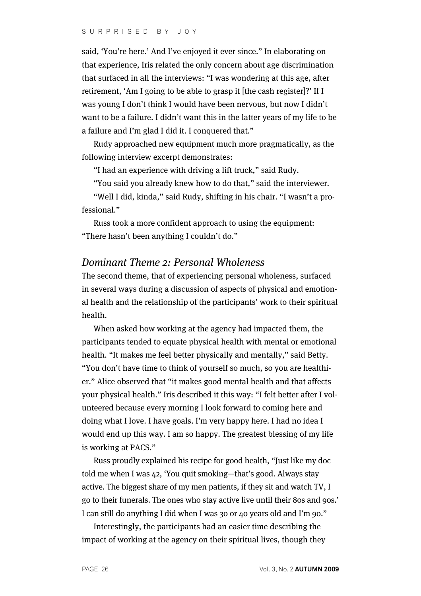said, 'You're here.' And I've enjoyed it ever since." In elaborating on that experience, Iris related the only concern about age discrimination that surfaced in all the interviews: "I was wondering at this age, after retirement, 'Am I going to be able to grasp it [the cash register]?' If I was young I don't think I would have been nervous, but now I didn't want to be a failure. I didn't want this in the latter years of my life to be a failure and I'm glad I did it. I conquered that."

Rudy approached new equipment much more pragmatically, as the following interview excerpt demonstrates:

"I had an experience with driving a lift truck," said Rudy.

"You said you already knew how to do that," said the interviewer.

"Well I did, kinda," said Rudy, shifting in his chair. "I wasn't a professional."

Russ took a more confident approach to using the equipment: "There hasn't been anything I couldn't do."

### Dominant Theme 2: Personal Wholeness

The second theme, that of experiencing personal wholeness, surfaced in several ways during a discussion of aspects of physical and emotional health and the relationship of the participants' work to their spiritual health.

When asked how working at the agency had impacted them, the participants tended to equate physical health with mental or emotional health. "It makes me feel better physically and mentally," said Betty. "You don't have time to think of yourself so much, so you are healthier." Alice observed that "it makes good mental health and that affects your physical health." Iris described it this way: "I felt better after I volunteered because every morning I look forward to coming here and doing what I love. I have goals. I'm very happy here. I had no idea I would end up this way. I am so happy. The greatest blessing of my life is working at PACS."

Russ proudly explained his recipe for good health, "Just like my doc told me when I was 42, 'You quit smoking—that's good. Always stay active. The biggest share of my men patients, if they sit and watch TV, I go to their funerals. The ones who stay active live until their 80s and 90s.' I can still do anything I did when I was 30 or 40 years old and I'm 90."

Interestingly, the participants had an easier time describing the impact of working at the agency on their spiritual lives, though they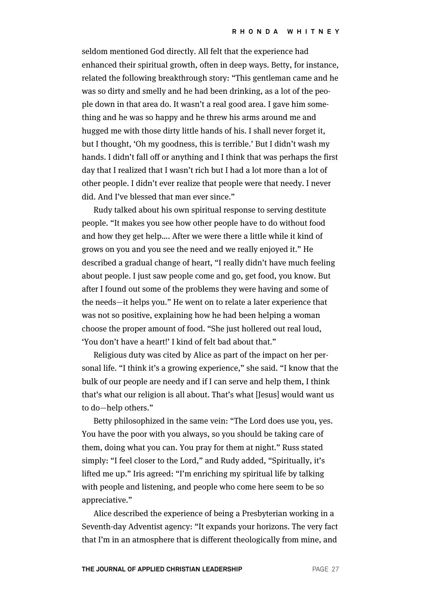seldom mentioned God directly. All felt that the experience had enhanced their spiritual growth, often in deep ways. Betty, for instance, related the following breakthrough story: "This gentleman came and he was so dirty and smelly and he had been drinking, as a lot of the people down in that area do. It wasn't a real good area. I gave him something and he was so happy and he threw his arms around me and hugged me with those dirty little hands of his. I shall never forget it, but I thought, 'Oh my goodness, this is terrible.' But I didn't wash my hands. I didn't fall off or anything and I think that was perhaps the first day that I realized that I wasn't rich but I had a lot more than a lot of other people. I didn't ever realize that people were that needy. I never did. And I've blessed that man ever since."

Rudy talked about his own spiritual response to serving destitute people. "It makes you see how other people have to do without food and how they get help…. After we were there a little while it kind of grows on you and you see the need and we really enjoyed it." He described a gradual change of heart, "I really didn't have much feeling about people. I just saw people come and go, get food, you know. But after I found out some of the problems they were having and some of the needs—it helps you." He went on to relate a later experience that was not so positive, explaining how he had been helping a woman choose the proper amount of food. "She just hollered out real loud, 'You don't have a heart!' I kind of felt bad about that."

Religious duty was cited by Alice as part of the impact on her personal life. "I think it's a growing experience," she said. "I know that the bulk of our people are needy and if I can serve and help them, I think that's what our religion is all about. That's what [Jesus] would want us to do—help others."

Betty philosophized in the same vein: "The Lord does use you, yes. You have the poor with you always, so you should be taking care of them, doing what you can. You pray for them at night." Russ stated simply: "I feel closer to the Lord," and Rudy added, "Spiritually, it's lifted me up." Iris agreed: "I'm enriching my spiritual life by talking with people and listening, and people who come here seem to be so appreciative."

Alice described the experience of being a Presbyterian working in a Seventh-day Adventist agency: "It expands your horizons. The very fact that I'm in an atmosphere that is different theologically from mine, and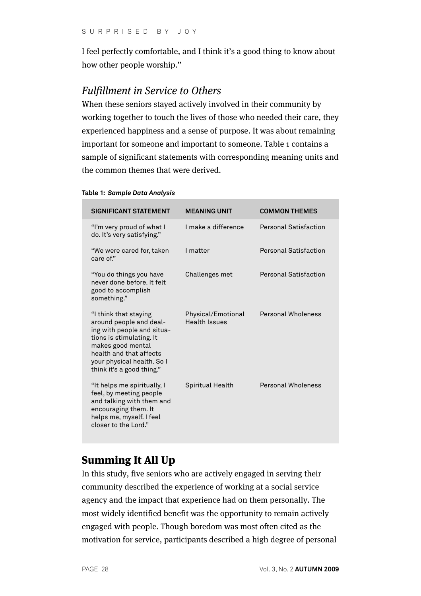I feel perfectly comfortable, and I think it's a good thing to know about how other people worship."

## Fulfillment in Service to Others

When these seniors stayed actively involved in their community by working together to touch the lives of those who needed their care, they experienced happiness and a sense of purpose. It was about remaining important for someone and important to someone. Table 1 contains a sample of significant statements with corresponding meaning units and the common themes that were derived.

| <b>SIGNIFICANT STATEMENT</b>                                                                                                                                                                                          | <b>MEANING UNIT</b>                        | <b>COMMON THEMES</b>         |
|-----------------------------------------------------------------------------------------------------------------------------------------------------------------------------------------------------------------------|--------------------------------------------|------------------------------|
| "I'm very proud of what I<br>do. It's very satisfying."                                                                                                                                                               | I make a difference                        | <b>Personal Satisfaction</b> |
| "We were cared for, taken<br>care of."                                                                                                                                                                                | I matter                                   | <b>Personal Satisfaction</b> |
| "You do things you have<br>never done before. It felt<br>good to accomplish<br>something."                                                                                                                            | Challenges met                             | <b>Personal Satisfaction</b> |
| "I think that staying<br>around people and deal-<br>ing with people and situa-<br>tions is stimulating. It<br>makes good mental<br>health and that affects<br>your physical health. So I<br>think it's a good thing." | Physical/Emotional<br><b>Health Issues</b> | Personal Wholeness           |
| "It helps me spiritually, I<br>feel, by meeting people<br>and talking with them and<br>encouraging them. It<br>helps me, myself. I feel<br>closer to the Lord."                                                       | <b>Spiritual Health</b>                    | <b>Personal Wholeness</b>    |

#### **Table 1:** *Sample Data Analysis*

# Summing It All Up

In this study, five seniors who are actively engaged in serving their community described the experience of working at a social service agency and the impact that experience had on them personally. The most widely identified benefit was the opportunity to remain actively engaged with people. Though boredom was most often cited as the motivation for service, participants described a high degree of personal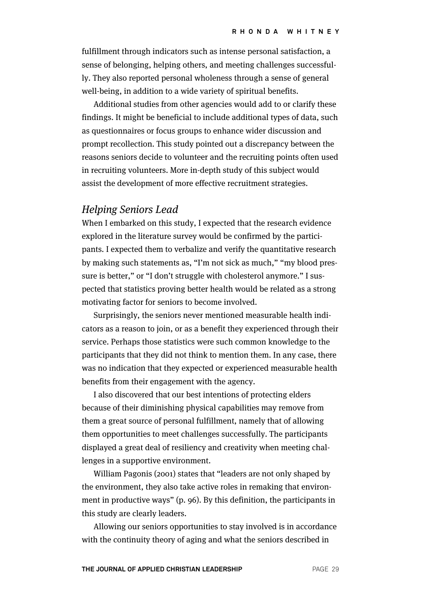fulfillment through indicators such as intense personal satisfaction, a sense of belonging, helping others, and meeting challenges successfully. They also reported personal wholeness through a sense of general well-being, in addition to a wide variety of spiritual benefits.

Additional studies from other agencies would add to or clarify these findings. It might be beneficial to include additional types of data, such as questionnaires or focus groups to enhance wider discussion and prompt recollection. This study pointed out a discrepancy between the reasons seniors decide to volunteer and the recruiting points often used in recruiting volunteers. More in-depth study of this subject would assist the development of more effective recruitment strategies.

#### Helping Seniors Lead

When I embarked on this study, I expected that the research evidence explored in the literature survey would be confirmed by the participants. I expected them to verbalize and verify the quantitative research by making such statements as, "I'm not sick as much," "my blood pressure is better," or "I don't struggle with cholesterol anymore." I suspected that statistics proving better health would be related as a strong motivating factor for seniors to become involved.

Surprisingly, the seniors never mentioned measurable health indicators as a reason to join, or as a benefit they experienced through their service. Perhaps those statistics were such common knowledge to the participants that they did not think to mention them. In any case, there was no indication that they expected or experienced measurable health benefits from their engagement with the agency.

I also discovered that our best intentions of protecting elders because of their diminishing physical capabilities may remove from them a great source of personal fulfillment, namely that of allowing them opportunities to meet challenges successfully. The participants displayed a great deal of resiliency and creativity when meeting challenges in a supportive environment.

William Pagonis (2001) states that "leaders are not only shaped by the environment, they also take active roles in remaking that environment in productive ways" (p. 96). By this definition, the participants in this study are clearly leaders.

Allowing our seniors opportunities to stay involved is in accordance with the continuity theory of aging and what the seniors described in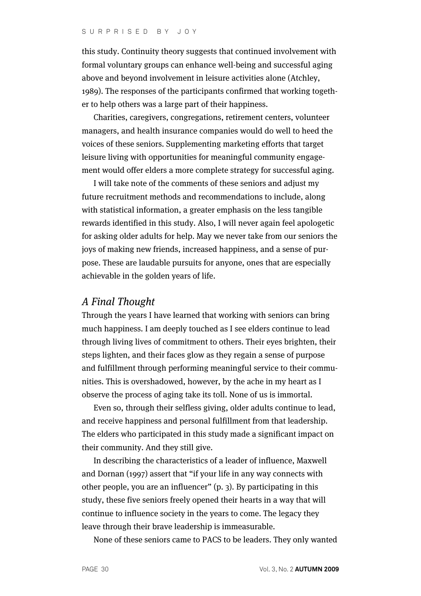this study. Continuity theory suggests that continued involvement with formal voluntary groups can enhance well-being and successful aging above and beyond involvement in leisure activities alone (Atchley, 1989). The responses of the participants confirmed that working together to help others was a large part of their happiness.

Charities, caregivers, congregations, retirement centers, volunteer managers, and health insurance companies would do well to heed the voices of these seniors. Supplementing marketing efforts that target leisure living with opportunities for meaningful community engagement would offer elders a more complete strategy for successful aging.

I will take note of the comments of these seniors and adjust my future recruitment methods and recommendations to include, along with statistical information, a greater emphasis on the less tangible rewards identified in this study. Also, I will never again feel apologetic for asking older adults for help. May we never take from our seniors the joys of making new friends, increased happiness, and a sense of purpose. These are laudable pursuits for anyone, ones that are especially achievable in the golden years of life.

#### A Final Thought

Through the years I have learned that working with seniors can bring much happiness. I am deeply touched as I see elders continue to lead through living lives of commitment to others. Their eyes brighten, their steps lighten, and their faces glow as they regain a sense of purpose and fulfillment through performing meaningful service to their communities. This is overshadowed, however, by the ache in my heart as I observe the process of aging take its toll. None of us is immortal.

Even so, through their selfless giving, older adults continue to lead, and receive happiness and personal fulfillment from that leadership. The elders who participated in this study made a significant impact on their community. And they still give.

In describing the characteristics of a leader of influence, Maxwell and Dornan (1997) assert that "if your life in any way connects with other people, you are an influencer" (p. 3). By participating in this study, these five seniors freely opened their hearts in a way that will continue to influence society in the years to come. The legacy they leave through their brave leadership is immeasurable.

None of these seniors came to PACS to be leaders. They only wanted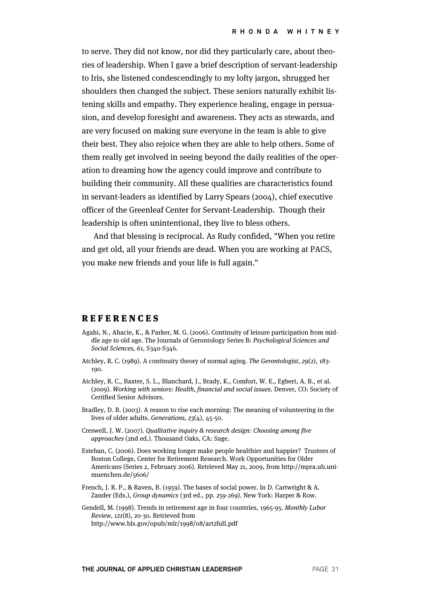to serve. They did not know, nor did they particularly care, about theories of leadership. When I gave a brief description of servant-leadership to Iris, she listened condescendingly to my lofty jargon, shrugged her shoulders then changed the subject. These seniors naturally exhibit listening skills and empathy. They experience healing, engage in persuasion, and develop foresight and awareness. They acts as stewards, and are very focused on making sure everyone in the team is able to give their best. They also rejoice when they are able to help others. Some of them really get involved in seeing beyond the daily realities of the operation to dreaming how the agency could improve and contribute to building their community. All these qualities are characteristics found in servant-leaders as identified by Larry Spears (2004), chief executive officer of the Greenleaf Center for Servant-Leadership. Though their leadership is often unintentional, they live to bless others.

And that blessing is reciprocal. As Rudy confided, "When you retire and get old, all your friends are dead. When you are working at PACS, you make new friends and your life is full again."

#### **REFERENCES**

- Agahi, N., Ahacie, K., & Parker, M. G. (2006). Continuity of leisure participation from middle age to old age. The Journals of Gerontology Series B: Psychological Sciences and Social Sciences, 61, S340-S346.
- Atchley, R. C. (1989). A continuity theory of normal aging. The Gerontologist, 29(2), 183- 190.
- Atchley, R. C., Baxter, S. L., Blanchard, J., Brady, K., Comfort, W. E., Egbert, A. B., et al. (2009). Working with seniors: Health, financial and social issues. Denver, CO: Society of Certified Senior Advisors.
- Bradley, D. B. (2003). A reason to rise each morning: The meaning of volunteering in the lives of older adults. Generations, 23(4), 45-50.
- Creswell, J. W. (2007). Qualitative inquiry & research design: Choosing among five approaches (2nd ed.). Thousand Oaks, CA: Sage.
- Esteban, C. (2006). Does working longer make people healthier and happier? Trustees of Boston College, Center for Retirement Research. Work Opportunities for Older Americans (Series 2, February 2006). Retrieved May 21, 2009, from http://mpra.ub.unimuenchen.de/5606/
- French, J. R. P., & Raven, B. (1959). The bases of social power. In D. Cartwright & A. Zander (Eds.), Group dynamics (3rd ed., pp. 259-269). New York: Harper & Row.

Gendell, M. (1998). Trends in retirement age in four countries, 1965-95. Monthly Labor Review, 121(8), 20-30. Retrieved from http://www.bls.gov/opub/mlr/1998/08/art2full.pdf